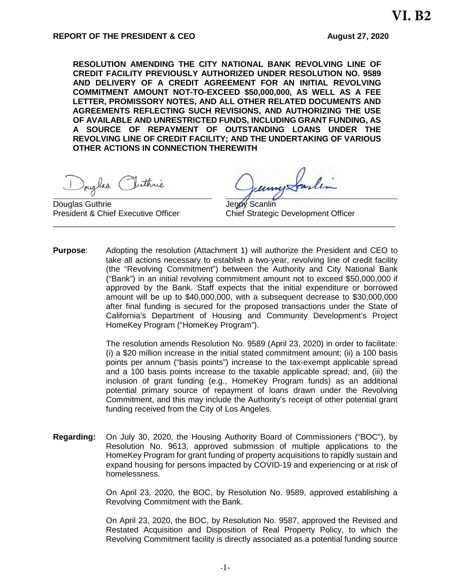**RESOLUTION AMENDING THE CITY NATIONAL BANK REVOLVING LINE OF CREDIT FACILITY PREVIOUSLY AUTHORIZED UNDER RESOLUTION NO. 9589 AND DELIVERY OF A CREDIT AGREEMENT FOR AN INITIAL REVOLVING COMMITMENT AMOUNT NOT-TO-EXCEED \$50,000,000, AS WELL AS A FEE LETTER, PROMISSORY NOTES, AND ALL OTHER RELATED DOCUMENTS AND AGREEMENTS REFLECTING SUCH REVISIONS, AND AUTHORIZING THE USE OF AVAILABLE AND UNRESTRICTED FUNDS, INCLUDING GRANT FUNDING, AS A SOURCE OF REPAYMENT OF OUTSTANDING LOANS UNDER THE REVOLVING LINE OF CREDIT FACILITY; AND THE UNDERTAKING OF VARIOUS OTHER ACTIONS IN CONNECTION THEREWITH** 

Douglas

Douglas Guthrie **Contact Contact Contact Contact Contact Contact Contact Contact Contact Contact Contact Contact Contact Contact Contact Contact Contact Contact Contact Contact Contact Contact Contact Contact Contact Conta** 

President & Chief Executive Officer Chief Strategic Development Officer

**Purpose**: Adopting the resolution (Attachment 1) will authorize the President and CEO to take all actions necessary to establish a two-year, revolving line of credit facility (the "Revolving Commitment") between the Authority and City National Bank ("Bank") in an initial revolving commitment amount not to exceed \$50,000,000 if approved by the Bank. Staff expects that the initial expenditure or borrowed amount will be up to \$40,000,000, with a subsequent decrease to \$30,000,000 after final funding is secured for the proposed transactions under the State of California's Department of Housing and Community Development's Project HomeKey Program ("HomeKey Program").

\_\_\_\_\_\_\_\_\_\_\_\_\_\_\_\_\_\_\_\_\_\_\_\_\_\_\_\_\_\_\_\_\_\_\_\_\_\_\_\_\_\_\_\_\_\_\_\_\_\_\_\_\_\_\_\_\_\_\_\_\_\_\_\_\_\_\_\_\_\_\_\_\_\_\_\_

The resolution amends Resolution No. 9589 (April 23, 2020) in order to facilitate: (i) a \$20 million increase in the initial stated commitment amount; (ii) a 100 basis points per annum ("basis points") increase to the tax-exempt applicable spread and a 100 basis points increase to the taxable applicable spread; and, (iii) the inclusion of grant funding (e.g., HomeKey Program funds) as an additional potential primary source of repayment of loans drawn under the Revolving Commitment, and this may include the Authority's receipt of other potential grant funding received from the City of Los Angeles.

**Regarding:** On July 30, 2020, the Housing Authority Board of Commissioners ("BOC"), by Resolution No. 9613, approved submission of multiple applications to the HomeKey Program for grant funding of property acquisitions to rapidly sustain and expand housing for persons impacted by COVID-19 and experiencing or at risk of homelessness.

> On April 23, 2020, the BOC, by Resolution No. 9589, approved establishing a Revolving Commitment with the Bank.

> On April 23, 2020, the BOC, by Resolution No. 9587, approved the Revised and Restated Acquisition and Disposition of Real Property Policy, to which the Revolving Commitment facility is directly associated as a potential funding source

**VI. B2**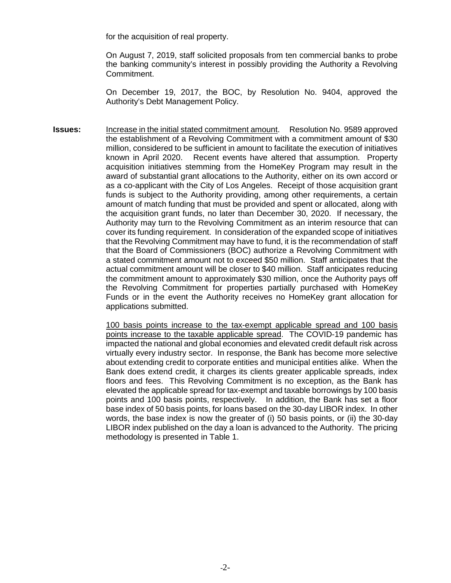for the acquisition of real property.

On August 7, 2019, staff solicited proposals from ten commercial banks to probe the banking community's interest in possibly providing the Authority a Revolving Commitment.

On December 19, 2017, the BOC, by Resolution No. 9404, approved the Authority's Debt Management Policy.

**Issues:** Increase in the initial stated commitment amount. Resolution No. 9589 approved the establishment of a Revolving Commitment with a commitment amount of \$30 million, considered to be sufficient in amount to facilitate the execution of initiatives known in April 2020. Recent events have altered that assumption. Property acquisition initiatives stemming from the HomeKey Program may result in the award of substantial grant allocations to the Authority, either on its own accord or as a co-applicant with the City of Los Angeles. Receipt of those acquisition grant funds is subject to the Authority providing, among other requirements, a certain amount of match funding that must be provided and spent or allocated, along with the acquisition grant funds, no later than December 30, 2020. If necessary, the Authority may turn to the Revolving Commitment as an interim resource that can cover its funding requirement. In consideration of the expanded scope of initiatives that the Revolving Commitment may have to fund, it is the recommendation of staff that the Board of Commissioners (BOC) authorize a Revolving Commitment with a stated commitment amount not to exceed \$50 million. Staff anticipates that the actual commitment amount will be closer to \$40 million. Staff anticipates reducing the commitment amount to approximately \$30 million, once the Authority pays off the Revolving Commitment for properties partially purchased with HomeKey Funds or in the event the Authority receives no HomeKey grant allocation for applications submitted.

> 100 basis points increase to the tax-exempt applicable spread and 100 basis points increase to the taxable applicable spread. The COVID-19 pandemic has impacted the national and global economies and elevated credit default risk across virtually every industry sector. In response, the Bank has become more selective about extending credit to corporate entities and municipal entities alike. When the Bank does extend credit, it charges its clients greater applicable spreads, index floors and fees. This Revolving Commitment is no exception, as the Bank has elevated the applicable spread for tax-exempt and taxable borrowings by 100 basis points and 100 basis points, respectively. In addition, the Bank has set a floor base index of 50 basis points, for loans based on the 30-day LIBOR index. In other words, the base index is now the greater of (i) 50 basis points, or (ii) the 30-day LIBOR index published on the day a loan is advanced to the Authority. The pricing methodology is presented in Table 1.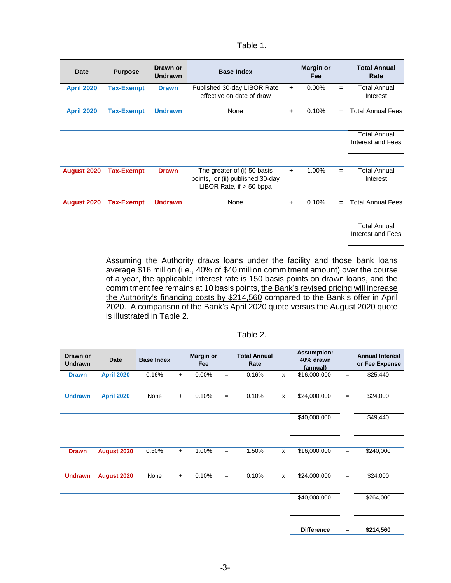## Table 1.

| <b>Date</b>        | <b>Purpose</b>    | Drawn or<br>Undrawn | <b>Base Index</b>                                                                             |           | <b>Margin or</b><br>Fee |     | <b>Total Annual</b><br>Rate              |
|--------------------|-------------------|---------------------|-----------------------------------------------------------------------------------------------|-----------|-------------------------|-----|------------------------------------------|
| <b>April 2020</b>  | <b>Tax-Exempt</b> | <b>Drawn</b>        | Published 30-day LIBOR Rate<br>effective on date of draw                                      | $+$       | $0.00\%$                | $=$ | <b>Total Annual</b><br>Interest          |
| <b>April 2020</b>  | <b>Tax-Exempt</b> | <b>Undrawn</b>      | None                                                                                          | $\ddot{}$ | 0.10%                   | $=$ | <b>Total Annual Fees</b>                 |
|                    |                   |                     |                                                                                               |           |                         |     | <b>Total Annual</b><br>Interest and Fees |
| <b>August 2020</b> | <b>Tax-Exempt</b> | <b>Drawn</b>        | The greater of (i) 50 basis<br>points, or (ii) published 30-day<br>LIBOR Rate, if $>$ 50 bppa | $+$       | 1.00%                   | $=$ | <b>Total Annual</b><br>Interest          |
| <b>August 2020</b> | <b>Tax-Exempt</b> | <b>Undrawn</b>      | None                                                                                          | $\ddot{}$ | 0.10%                   | $=$ | <b>Total Annual Fees</b>                 |
|                    |                   |                     |                                                                                               |           |                         |     | <b>Total Annual</b><br>Interest and Fees |

Assuming the Authority draws loans under the facility and those bank loans average \$16 million (i.e., 40% of \$40 million commitment amount) over the course of a year, the applicable interest rate is 150 basis points on drawn loans, and the commitment fee remains at 10 basis points, the Bank's revised pricing will increase the Authority's financing costs by \$214,560 compared to the Bank's offer in April 2020. A comparison of the Bank's April 2020 quote versus the August 2020 quote is illustrated in Table 2.

| Drawn or<br><b>Undrawn</b> | <b>Date</b>       | <b>Base Index</b> |           | <b>Margin or</b><br>Fee |     | <b>Total Annual</b><br>Rate |                    | <b>Assumption:</b><br>40% drawn<br>(annual) |          | <b>Annual Interest</b><br>or Fee Expense |
|----------------------------|-------------------|-------------------|-----------|-------------------------|-----|-----------------------------|--------------------|---------------------------------------------|----------|------------------------------------------|
| <b>Drawn</b>               | <b>April 2020</b> | 0.16%             | $+$       | 0.00%                   | $=$ | 0.16%                       | X                  | \$16,000,000                                | $=$      | \$25,440                                 |
| <b>Undrawn</b>             | <b>April 2020</b> | None              | $\ddot{}$ | 0.10%                   | $=$ | 0.10%                       | $\mathsf{x}$       | \$24,000,000                                | $\equiv$ | \$24,000                                 |
|                            |                   |                   |           |                         |     |                             |                    | \$40,000,000                                |          | \$49,440                                 |
| <b>Drawn</b>               | August 2020       | 0.50%             | $+$       | 1.00%                   | $=$ | 1.50%                       | $\pmb{\mathsf{x}}$ | \$16,000,000                                | $\equiv$ | \$240,000                                |
| <b>Undrawn</b>             | August 2020       | None              | $+$       | 0.10%                   | $=$ | 0.10%                       | $\mathsf{x}$       | \$24,000,000                                | $\equiv$ | \$24,000                                 |
|                            |                   |                   |           |                         |     |                             |                    | \$40,000,000                                |          | \$264,000                                |
|                            |                   |                   |           |                         |     |                             |                    | <b>Difference</b>                           | $=$      | \$214,560                                |

Table 2.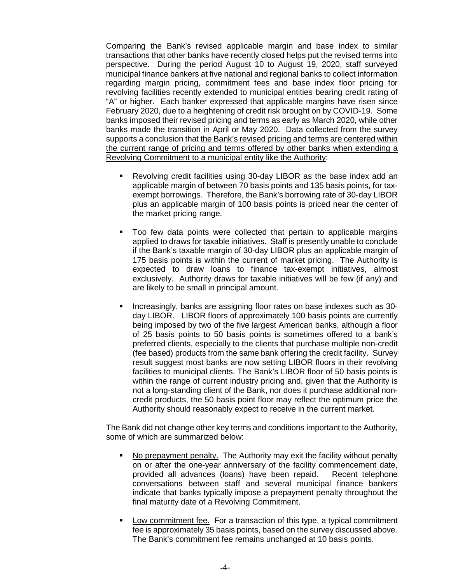Comparing the Bank's revised applicable margin and base index to similar transactions that other banks have recently closed helps put the revised terms into perspective. During the period August 10 to August 19, 2020, staff surveyed municipal finance bankers at five national and regional banks to collect information regarding margin pricing, commitment fees and base index floor pricing for revolving facilities recently extended to municipal entities bearing credit rating of "A" or higher. Each banker expressed that applicable margins have risen since February 2020, due to a heightening of credit risk brought on by COVID-19. Some banks imposed their revised pricing and terms as early as March 2020, while other banks made the transition in April or May 2020. Data collected from the survey supports a conclusion that the Bank's revised pricing and terms are centered within the current range of pricing and terms offered by other banks when extending a Revolving Commitment to a municipal entity like the Authority:

- Revolving credit facilities using 30-day LIBOR as the base index add an applicable margin of between 70 basis points and 135 basis points, for taxexempt borrowings. Therefore, the Bank's borrowing rate of 30-day LIBOR plus an applicable margin of 100 basis points is priced near the center of the market pricing range.
- Too few data points were collected that pertain to applicable margins applied to draws for taxable initiatives. Staff is presently unable to conclude if the Bank's taxable margin of 30-day LIBOR plus an applicable margin of 175 basis points is within the current of market pricing. The Authority is expected to draw loans to finance tax-exempt initiatives, almost exclusively. Authority draws for taxable initiatives will be few (if any) and are likely to be small in principal amount.
- Increasingly, banks are assigning floor rates on base indexes such as 30 day LIBOR. LIBOR floors of approximately 100 basis points are currently being imposed by two of the five largest American banks, although a floor of 25 basis points to 50 basis points is sometimes offered to a bank's preferred clients, especially to the clients that purchase multiple non-credit (fee based) products from the same bank offering the credit facility. Survey result suggest most banks are now setting LIBOR floors in their revolving facilities to municipal clients. The Bank's LIBOR floor of 50 basis points is within the range of current industry pricing and, given that the Authority is not a long-standing client of the Bank, nor does it purchase additional noncredit products, the 50 basis point floor may reflect the optimum price the Authority should reasonably expect to receive in the current market.

The Bank did not change other key terms and conditions important to the Authority, some of which are summarized below:

- No prepayment penalty. The Authority may exit the facility without penalty on or after the one-year anniversary of the facility commencement date, provided all advances (loans) have been repaid. Recent telephone conversations between staff and several municipal finance bankers indicate that banks typically impose a prepayment penalty throughout the final maturity date of a Revolving Commitment.
- Low commitment fee. For a transaction of this type, a typical commitment fee is approximately 35 basis points, based on the survey discussed above. The Bank's commitment fee remains unchanged at 10 basis points.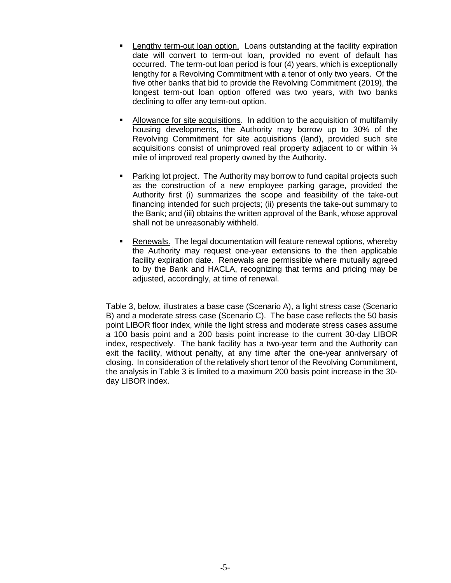- Lengthy term-out loan option. Loans outstanding at the facility expiration date will convert to term-out loan, provided no event of default has occurred. The term-out loan period is four (4) years, which is exceptionally lengthy for a Revolving Commitment with a tenor of only two years. Of the five other banks that bid to provide the Revolving Commitment (2019), the longest term-out loan option offered was two years, with two banks declining to offer any term-out option.
- Allowance for site acquisitions. In addition to the acquisition of multifamily housing developments, the Authority may borrow up to 30% of the Revolving Commitment for site acquisitions (land), provided such site acquisitions consist of unimproved real property adjacent to or within ¼ mile of improved real property owned by the Authority.
- Parking lot project. The Authority may borrow to fund capital projects such as the construction of a new employee parking garage, provided the Authority first (i) summarizes the scope and feasibility of the take-out financing intended for such projects; (ii) presents the take-out summary to the Bank; and (iii) obtains the written approval of the Bank, whose approval shall not be unreasonably withheld.
- Renewals. The legal documentation will feature renewal options, whereby the Authority may request one-year extensions to the then applicable facility expiration date. Renewals are permissible where mutually agreed to by the Bank and HACLA, recognizing that terms and pricing may be adjusted, accordingly, at time of renewal.

Table 3, below, illustrates a base case (Scenario A), a light stress case (Scenario B) and a moderate stress case (Scenario C). The base case reflects the 50 basis point LIBOR floor index, while the light stress and moderate stress cases assume a 100 basis point and a 200 basis point increase to the current 30-day LIBOR index, respectively. The bank facility has a two-year term and the Authority can exit the facility, without penalty, at any time after the one-year anniversary of closing. In consideration of the relatively short tenor of the Revolving Commitment, the analysis in Table 3 is limited to a maximum 200 basis point increase in the 30 day LIBOR index.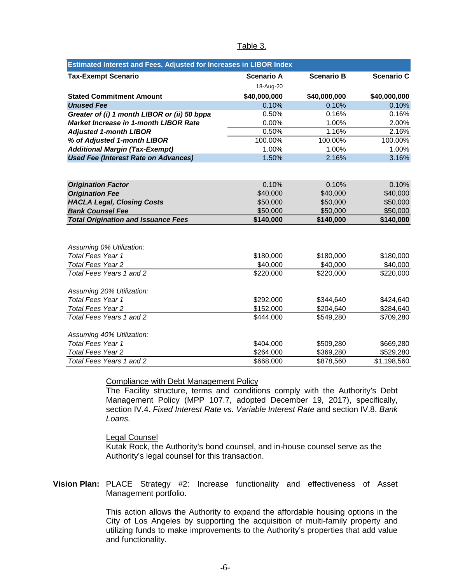| <b>Estimated Interest and Fees, Adjusted for Increases in LIBOR Index</b> |                   |                   |                   |
|---------------------------------------------------------------------------|-------------------|-------------------|-------------------|
| <b>Tax-Exempt Scenario</b>                                                | <b>Scenario A</b> | <b>Scenario B</b> | <b>Scenario C</b> |
|                                                                           | 18-Aug-20         |                   |                   |
| <b>Stated Commitment Amount</b>                                           | \$40,000,000      | \$40,000,000      | \$40,000,000      |
| <b>Unused Fee</b>                                                         | 0.10%             | 0.10%             | 0.10%             |
| Greater of (i) 1 month LIBOR or (ii) 50 bppa                              | 0.50%             | 0.16%             | 0.16%             |
| <b>Market Increase in 1-month LIBOR Rate</b>                              | 0.00%             | 1.00%             | 2.00%             |
| <b>Adjusted 1-month LIBOR</b>                                             | 0.50%             | 1.16%             | 2.16%             |
| % of Adjusted 1-month LIBOR                                               | 100.00%           | 100.00%           | 100.00%           |
| <b>Additional Margin (Tax-Exempt)</b>                                     | 1.00%             | 1.00%             | 1.00%             |
| <b>Used Fee (Interest Rate on Advances)</b>                               | 1.50%             | 2.16%             | 3.16%             |
|                                                                           |                   |                   |                   |
| <b>Origination Factor</b>                                                 | 0.10%             | 0.10%             | 0.10%             |
| <b>Origination Fee</b>                                                    | \$40,000          | \$40,000          | \$40,000          |
| <b>HACLA Legal, Closing Costs</b>                                         | \$50,000          | \$50,000          | \$50,000          |
| <b>Bank Counsel Fee</b>                                                   | \$50,000          | \$50,000          | \$50,000          |
| <b>Total Origination and Issuance Fees</b>                                | \$140,000         | \$140,000         | \$140,000         |
|                                                                           |                   |                   |                   |
|                                                                           |                   |                   |                   |
| Assuming 0% Utilization:<br>Total Fees Year 1                             | \$180,000         | \$180,000         | \$180,000         |
| <b>Total Fees Year 2</b>                                                  | \$40,000          | \$40,000          | \$40,000          |
| Total Fees Years 1 and 2                                                  | \$220,000         | \$220,000         | \$220,000         |
|                                                                           |                   |                   |                   |
| Assuming 20% Utilization:                                                 |                   |                   |                   |
| <b>Total Fees Year 1</b>                                                  | \$292,000         | \$344,640         | \$424,640         |
| <b>Total Fees Year 2</b>                                                  | \$152,000         | \$204,640         | \$284,640         |
| Total Fees Years 1 and 2                                                  | \$444,000         | \$549,280         | \$709,280         |
| Assuming 40% Utilization:                                                 |                   |                   |                   |
| <b>Total Fees Year 1</b>                                                  | \$404,000         | \$509,280         | \$669,280         |
| <b>Total Fees Year 2</b>                                                  | \$264,000         | \$369,280         | \$529,280         |
| Total Fees Years 1 and 2                                                  | \$668,000         | \$878,560         | \$1,198,560       |

## Table 3.

#### Compliance with Debt Management Policy

The Facility structure, terms and conditions comply with the Authority's Debt Management Policy (MPP 107.7, adopted December 19, 2017), specifically, section IV.4. *Fixed Interest Rate vs. Variable Interest Rate* and section IV.8. *Bank Loans.*

#### Legal Counsel

Kutak Rock, the Authority's bond counsel, and in-house counsel serve as the Authority's legal counsel for this transaction.

**Vision Plan:** PLACE Strategy #2: Increase functionality and effectiveness of Asset Management portfolio.

> This action allows the Authority to expand the affordable housing options in the City of Los Angeles by supporting the acquisition of multi-family property and utilizing funds to make improvements to the Authority's properties that add value and functionality.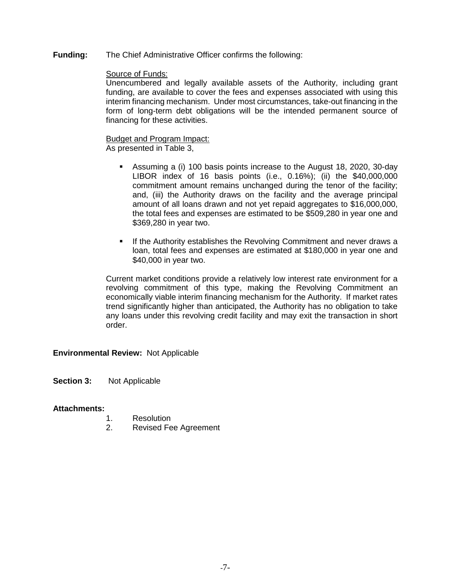**Funding:** The Chief Administrative Officer confirms the following:

## Source of Funds:

Unencumbered and legally available assets of the Authority, including grant funding, are available to cover the fees and expenses associated with using this interim financing mechanism. Under most circumstances, take-out financing in the form of long-term debt obligations will be the intended permanent source of financing for these activities.

# Budget and Program Impact:

As presented in Table 3,

- Assuming a (i) 100 basis points increase to the August 18, 2020, 30-day LIBOR index of 16 basis points (i.e., 0.16%); (ii) the \$40,000,000 commitment amount remains unchanged during the tenor of the facility; and, (iii) the Authority draws on the facility and the average principal amount of all loans drawn and not yet repaid aggregates to \$16,000,000, the total fees and expenses are estimated to be \$509,280 in year one and \$369,280 in year two.
- **If the Authority establishes the Revolving Commitment and never draws a** loan, total fees and expenses are estimated at \$180,000 in year one and \$40,000 in year two.

Current market conditions provide a relatively low interest rate environment for a revolving commitment of this type, making the Revolving Commitment an economically viable interim financing mechanism for the Authority. If market rates trend significantly higher than anticipated, the Authority has no obligation to take any loans under this revolving credit facility and may exit the transaction in short order.

## **Environmental Review:** Not Applicable

**Section 3:** Not Applicable

### **Attachments:**

- 1. Resolution
- 2. Revised Fee Agreement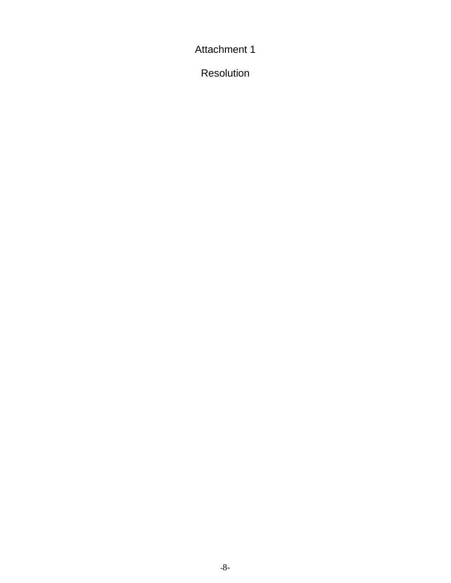Attachment 1

Resolution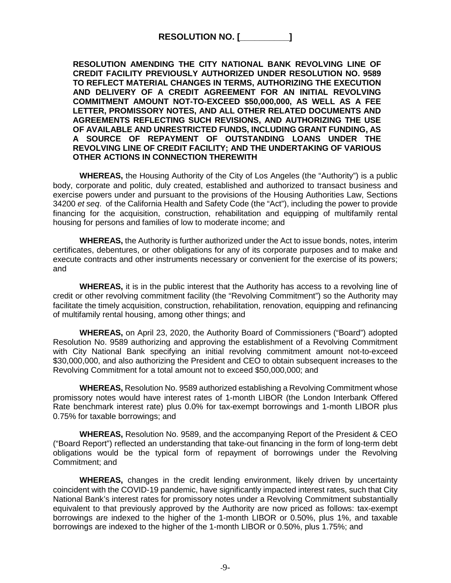# **RESOLUTION NO. [\_\_\_\_\_\_\_\_\_\_]**

**RESOLUTION AMENDING THE CITY NATIONAL BANK REVOLVING LINE OF CREDIT FACILITY PREVIOUSLY AUTHORIZED UNDER RESOLUTION NO. 9589 TO REFLECT MATERIAL CHANGES IN TERMS, AUTHORIZING THE EXECUTION AND DELIVERY OF A CREDIT AGREEMENT FOR AN INITIAL REVOLVING COMMITMENT AMOUNT NOT-TO-EXCEED \$50,000,000, AS WELL AS A FEE LETTER, PROMISSORY NOTES, AND ALL OTHER RELATED DOCUMENTS AND AGREEMENTS REFLECTING SUCH REVISIONS, AND AUTHORIZING THE USE OF AVAILABLE AND UNRESTRICTED FUNDS, INCLUDING GRANT FUNDING, AS A SOURCE OF REPAYMENT OF OUTSTANDING LOANS UNDER THE REVOLVING LINE OF CREDIT FACILITY; AND THE UNDERTAKING OF VARIOUS OTHER ACTIONS IN CONNECTION THEREWITH** 

**WHEREAS,** the Housing Authority of the City of Los Angeles (the "Authority") is a public body, corporate and politic, duly created, established and authorized to transact business and exercise powers under and pursuant to the provisions of the Housing Authorities Law, Sections 34200 *et seq*. of the California Health and Safety Code (the "Act"), including the power to provide financing for the acquisition, construction, rehabilitation and equipping of multifamily rental housing for persons and families of low to moderate income; and

**WHEREAS,** the Authority is further authorized under the Act to issue bonds, notes, interim certificates, debentures, or other obligations for any of its corporate purposes and to make and execute contracts and other instruments necessary or convenient for the exercise of its powers; and

**WHEREAS,** it is in the public interest that the Authority has access to a revolving line of credit or other revolving commitment facility (the "Revolving Commitment") so the Authority may facilitate the timely acquisition, construction, rehabilitation, renovation, equipping and refinancing of multifamily rental housing, among other things; and

**WHEREAS,** on April 23, 2020, the Authority Board of Commissioners ("Board") adopted Resolution No. 9589 authorizing and approving the establishment of a Revolving Commitment with City National Bank specifying an initial revolving commitment amount not-to-exceed \$30,000,000, and also authorizing the President and CEO to obtain subsequent increases to the Revolving Commitment for a total amount not to exceed \$50,000,000; and

**WHEREAS,** Resolution No. 9589 authorized establishing a Revolving Commitment whose promissory notes would have interest rates of 1-month LIBOR (the London Interbank Offered Rate benchmark interest rate) plus 0.0% for tax-exempt borrowings and 1-month LIBOR plus 0.75% for taxable borrowings; and

**WHEREAS,** Resolution No. 9589, and the accompanying Report of the President & CEO ("Board Report") reflected an understanding that take-out financing in the form of long-term debt obligations would be the typical form of repayment of borrowings under the Revolving Commitment; and

**WHEREAS,** changes in the credit lending environment, likely driven by uncertainty coincident with the COVID-19 pandemic, have significantly impacted interest rates, such that City National Bank's interest rates for promissory notes under a Revolving Commitment substantially equivalent to that previously approved by the Authority are now priced as follows: tax-exempt borrowings are indexed to the higher of the 1-month LIBOR or 0.50%, plus 1%, and taxable borrowings are indexed to the higher of the 1-month LIBOR or 0.50%, plus 1.75%; and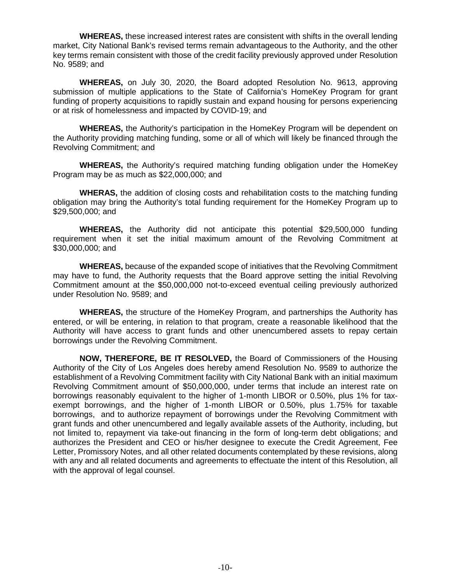**WHEREAS,** these increased interest rates are consistent with shifts in the overall lending market, City National Bank's revised terms remain advantageous to the Authority, and the other key terms remain consistent with those of the credit facility previously approved under Resolution No. 9589; and

**WHEREAS,** on July 30, 2020, the Board adopted Resolution No. 9613, approving submission of multiple applications to the State of California's HomeKey Program for grant funding of property acquisitions to rapidly sustain and expand housing for persons experiencing or at risk of homelessness and impacted by COVID-19; and

**WHEREAS,** the Authority's participation in the HomeKey Program will be dependent on the Authority providing matching funding, some or all of which will likely be financed through the Revolving Commitment; and

**WHEREAS,** the Authority's required matching funding obligation under the HomeKey Program may be as much as \$22,000,000; and

**WHERAS,** the addition of closing costs and rehabilitation costs to the matching funding obligation may bring the Authority's total funding requirement for the HomeKey Program up to \$29,500,000; and

**WHEREAS,** the Authority did not anticipate this potential \$29,500,000 funding requirement when it set the initial maximum amount of the Revolving Commitment at \$30,000,000; and

**WHEREAS,** because of the expanded scope of initiatives that the Revolving Commitment may have to fund, the Authority requests that the Board approve setting the initial Revolving Commitment amount at the \$50,000,000 not-to-exceed eventual ceiling previously authorized under Resolution No. 9589; and

**WHEREAS,** the structure of the HomeKey Program, and partnerships the Authority has entered, or will be entering, in relation to that program, create a reasonable likelihood that the Authority will have access to grant funds and other unencumbered assets to repay certain borrowings under the Revolving Commitment.

**NOW, THEREFORE, BE IT RESOLVED,** the Board of Commissioners of the Housing Authority of the City of Los Angeles does hereby amend Resolution No. 9589 to authorize the establishment of a Revolving Commitment facility with City National Bank with an initial maximum Revolving Commitment amount of \$50,000,000, under terms that include an interest rate on borrowings reasonably equivalent to the higher of 1-month LIBOR or 0.50%, plus 1% for taxexempt borrowings, and the higher of 1-month LIBOR or 0.50%, plus 1.75% for taxable borrowings, and to authorize repayment of borrowings under the Revolving Commitment with grant funds and other unencumbered and legally available assets of the Authority, including, but not limited to, repayment via take-out financing in the form of long-term debt obligations; and authorizes the President and CEO or his/her designee to execute the Credit Agreement, Fee Letter, Promissory Notes, and all other related documents contemplated by these revisions, along with any and all related documents and agreements to effectuate the intent of this Resolution, all with the approval of legal counsel.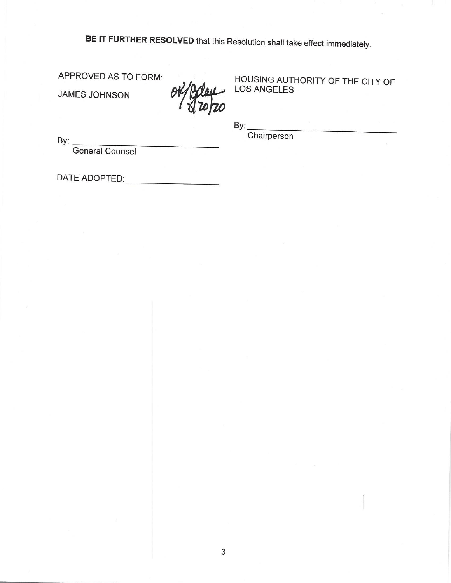BE IT FURTHER RESOLVED that this Resolution shall take effect immediately.

APPROVED AS TO FORM:

JAMES JOHNSON

HOUSING AUTHORITY OF THE CITY OF LOS ANGELES

By:

Chairperson

By: General Counsel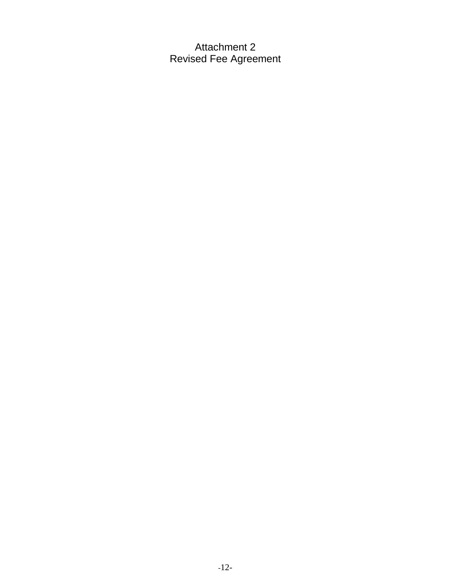Attachment 2 Revised Fee Agreement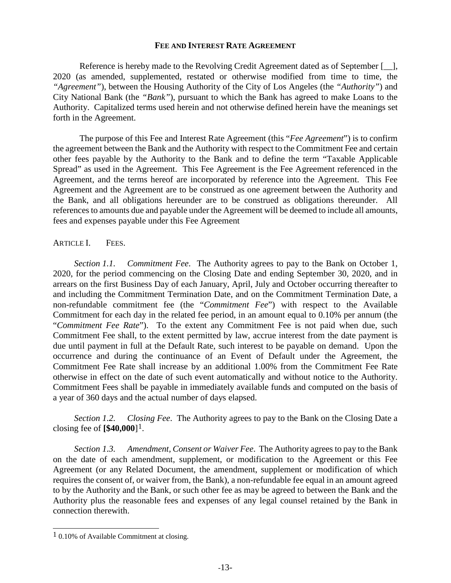#### **FEE AND INTEREST RATE AGREEMENT**

Reference is hereby made to the Revolving Credit Agreement dated as of September [\_\_], 2020 (as amended, supplemented, restated or otherwise modified from time to time, the *"Agreement"*), between the Housing Authority of the City of Los Angeles (the *"Authority"*) and City National Bank (the *"Bank"*), pursuant to which the Bank has agreed to make Loans to the Authority. Capitalized terms used herein and not otherwise defined herein have the meanings set forth in the Agreement.

The purpose of this Fee and Interest Rate Agreement (this "*Fee Agreement*") is to confirm the agreement between the Bank and the Authority with respect to the Commitment Fee and certain other fees payable by the Authority to the Bank and to define the term "Taxable Applicable Spread" as used in the Agreement. This Fee Agreement is the Fee Agreement referenced in the Agreement, and the terms hereof are incorporated by reference into the Agreement. This Fee Agreement and the Agreement are to be construed as one agreement between the Authority and the Bank, and all obligations hereunder are to be construed as obligations thereunder. All references to amounts due and payable under the Agreement will be deemed to include all amounts, fees and expenses payable under this Fee Agreement

### ARTICLE I. FEES.

*Section 1.1. Commitment Fee*. The Authority agrees to pay to the Bank on October 1, 2020, for the period commencing on the Closing Date and ending September 30, 2020, and in arrears on the first Business Day of each January, April, July and October occurring thereafter to and including the Commitment Termination Date, and on the Commitment Termination Date, a non-refundable commitment fee (the "*Commitment Fee*") with respect to the Available Commitment for each day in the related fee period, in an amount equal to 0.10% per annum (the "*Commitment Fee Rate*"). To the extent any Commitment Fee is not paid when due, such Commitment Fee shall, to the extent permitted by law, accrue interest from the date payment is due until payment in full at the Default Rate, such interest to be payable on demand. Upon the occurrence and during the continuance of an Event of Default under the Agreement, the Commitment Fee Rate shall increase by an additional 1.00% from the Commitment Fee Rate otherwise in effect on the date of such event automatically and without notice to the Authority. Commitment Fees shall be payable in immediately available funds and computed on the basis of a year of 360 days and the actual number of days elapsed.

*Section 1.2. Closing Fee*. The Authority agrees to pay to the Bank on the Closing Date a closing fee of **[\$40,000**][1.](#page-12-0)

*Section 1.3. Amendment, Consent or Waiver Fee*. The Authority agrees to pay to the Bank on the date of each amendment, supplement, or modification to the Agreement or this Fee Agreement (or any Related Document, the amendment, supplement or modification of which requires the consent of, or waiver from, the Bank), a non-refundable fee equal in an amount agreed to by the Authority and the Bank, or such other fee as may be agreed to between the Bank and the Authority plus the reasonable fees and expenses of any legal counsel retained by the Bank in connection therewith.

<span id="page-12-0"></span> $1,0.10\%$  of Available Commitment at closing.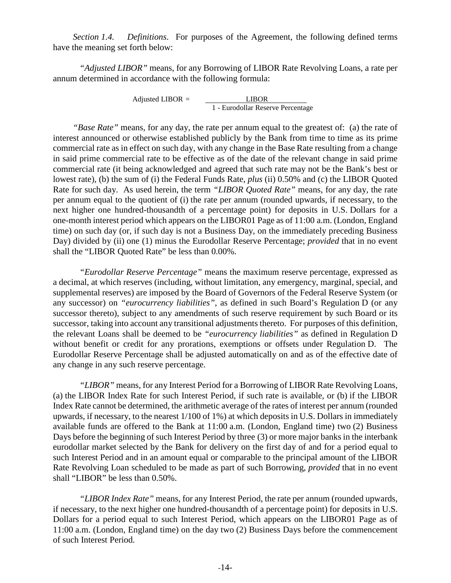*Section 1.4. Definitions*. For purposes of the Agreement, the following defined terms have the meaning set forth below:

*"Adjusted LIBOR"* means, for any Borrowing of LIBOR Rate Revolving Loans, a rate per annum determined in accordance with the following formula:

> Adjusted LIBOR = LIBOR 1 - Eurodollar Reserve Percentage

*"Base Rate"* means, for any day, the rate per annum equal to the greatest of: (a) the rate of interest announced or otherwise established publicly by the Bank from time to time as its prime commercial rate as in effect on such day, with any change in the Base Rate resulting from a change in said prime commercial rate to be effective as of the date of the relevant change in said prime commercial rate (it being acknowledged and agreed that such rate may not be the Bank's best or lowest rate), (b) the sum of (i) the Federal Funds Rate, *plus* (ii) 0.50% and (c) the LIBOR Quoted Rate for such day. As used herein, the term *"LIBOR Quoted Rate"* means, for any day, the rate per annum equal to the quotient of (i) the rate per annum (rounded upwards, if necessary, to the next higher one hundred-thousandth of a percentage point) for deposits in U.S. Dollars for a one-month interest period which appears on the LIBOR01 Page as of 11:00 a.m. (London, England time) on such day (or, if such day is not a Business Day, on the immediately preceding Business Day) divided by (ii) one (1) minus the Eurodollar Reserve Percentage; *provided* that in no event shall the "LIBOR Quoted Rate" be less than 0.00%.

*"Eurodollar Reserve Percentage"* means the maximum reserve percentage, expressed as a decimal, at which reserves (including, without limitation, any emergency, marginal, special, and supplemental reserves) are imposed by the Board of Governors of the Federal Reserve System (or any successor) on *"eurocurrency liabilities"*, as defined in such Board's Regulation D (or any successor thereto), subject to any amendments of such reserve requirement by such Board or its successor, taking into account any transitional adjustments thereto. For purposes of this definition, the relevant Loans shall be deemed to be *"eurocurrency liabilities"* as defined in Regulation D without benefit or credit for any prorations, exemptions or offsets under Regulation D. The Eurodollar Reserve Percentage shall be adjusted automatically on and as of the effective date of any change in any such reserve percentage.

*"LIBOR"* means, for any Interest Period for a Borrowing of LIBOR Rate Revolving Loans, (a) the LIBOR Index Rate for such Interest Period, if such rate is available, or (b) if the LIBOR Index Rate cannot be determined, the arithmetic average of the rates of interest per annum (rounded upwards, if necessary, to the nearest 1/100 of 1%) at which deposits in U.S. Dollars in immediately available funds are offered to the Bank at 11:00 a.m. (London, England time) two (2) Business Days before the beginning of such Interest Period by three (3) or more major banks in the interbank eurodollar market selected by the Bank for delivery on the first day of and for a period equal to such Interest Period and in an amount equal or comparable to the principal amount of the LIBOR Rate Revolving Loan scheduled to be made as part of such Borrowing, *provided* that in no event shall "LIBOR" be less than 0.50%.

*"LIBOR Index Rate"* means, for any Interest Period, the rate per annum (rounded upwards, if necessary, to the next higher one hundred-thousandth of a percentage point) for deposits in U.S. Dollars for a period equal to such Interest Period, which appears on the LIBOR01 Page as of 11:00 a.m. (London, England time) on the day two (2) Business Days before the commencement of such Interest Period.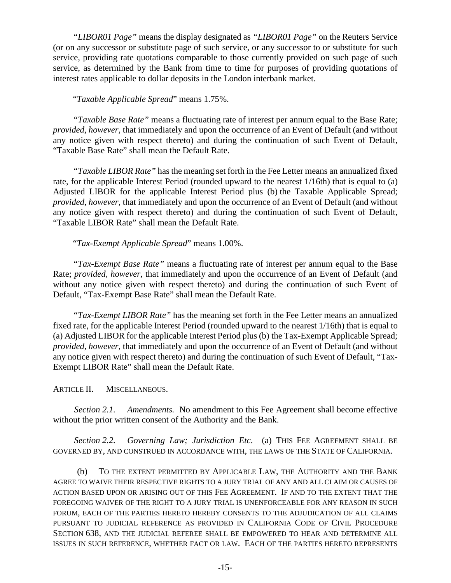*"LIBOR01 Page"* means the display designated as *"LIBOR01 Page"* on the Reuters Service (or on any successor or substitute page of such service, or any successor to or substitute for such service, providing rate quotations comparable to those currently provided on such page of such service, as determined by the Bank from time to time for purposes of providing quotations of interest rates applicable to dollar deposits in the London interbank market.

## "*Taxable Applicable Spread*" means 1.75%.

*"Taxable Base Rate"* means a fluctuating rate of interest per annum equal to the Base Rate; *provided, however,* that immediately and upon the occurrence of an Event of Default (and without any notice given with respect thereto) and during the continuation of such Event of Default, "Taxable Base Rate" shall mean the Default Rate.

*"Taxable LIBOR Rate"* has the meaning set forth in the Fee Letter means an annualized fixed rate, for the applicable Interest Period (rounded upward to the nearest 1/16th) that is equal to (a) Adjusted LIBOR for the applicable Interest Period plus (b) the Taxable Applicable Spread; *provided, however,* that immediately and upon the occurrence of an Event of Default (and without any notice given with respect thereto) and during the continuation of such Event of Default, "Taxable LIBOR Rate" shall mean the Default Rate.

# "*Tax-Exempt Applicable Spread*" means 1.00%.

*"Tax-Exempt Base Rate"* means a fluctuating rate of interest per annum equal to the Base Rate; *provided, however,* that immediately and upon the occurrence of an Event of Default (and without any notice given with respect thereto) and during the continuation of such Event of Default, "Tax-Exempt Base Rate" shall mean the Default Rate.

*"Tax-Exempt LIBOR Rate"* has the meaning set forth in the Fee Letter means an annualized fixed rate, for the applicable Interest Period (rounded upward to the nearest 1/16th) that is equal to (a) Adjusted LIBOR for the applicable Interest Period plus (b) the Tax-Exempt Applicable Spread; *provided, however,* that immediately and upon the occurrence of an Event of Default (and without any notice given with respect thereto) and during the continuation of such Event of Default, "Tax-Exempt LIBOR Rate" shall mean the Default Rate.

## ARTICLE II. MISCELLANEOUS.

*Section 2.1. Amendments.* No amendment to this Fee Agreement shall become effective without the prior written consent of the Authority and the Bank.

*Section 2.2. Governing Law; Jurisdiction Etc*. (a) THIS FEE AGREEMENT SHALL BE GOVERNED BY, AND CONSTRUED IN ACCORDANCE WITH, THE LAWS OF THE STATE OF CALIFORNIA.

(b) TO THE EXTENT PERMITTED BY APPLICABLE LAW, THE AUTHORITY AND THE BANK AGREE TO WAIVE THEIR RESPECTIVE RIGHTS TO A JURY TRIAL OF ANY AND ALL CLAIM OR CAUSES OF ACTION BASED UPON OR ARISING OUT OF THIS FEE AGREEMENT. IF AND TO THE EXTENT THAT THE FOREGOING WAIVER OF THE RIGHT TO A JURY TRIAL IS UNENFORCEABLE FOR ANY REASON IN SUCH FORUM, EACH OF THE PARTIES HERETO HEREBY CONSENTS TO THE ADJUDICATION OF ALL CLAIMS PURSUANT TO JUDICIAL REFERENCE AS PROVIDED IN CALIFORNIA CODE OF CIVIL PROCEDURE SECTION 638, AND THE JUDICIAL REFEREE SHALL BE EMPOWERED TO HEAR AND DETERMINE ALL ISSUES IN SUCH REFERENCE, WHETHER FACT OR LAW. EACH OF THE PARTIES HERETO REPRESENTS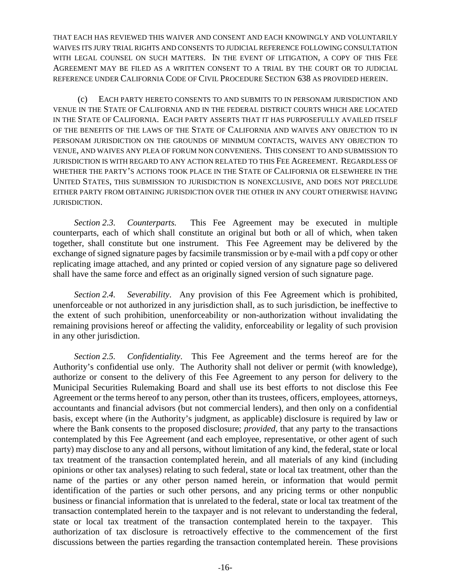THAT EACH HAS REVIEWED THIS WAIVER AND CONSENT AND EACH KNOWINGLY AND VOLUNTARILY WAIVES ITS JURY TRIAL RIGHTS AND CONSENTS TO JUDICIAL REFERENCE FOLLOWING CONSULTATION WITH LEGAL COUNSEL ON SUCH MATTERS. IN THE EVENT OF LITIGATION, A COPY OF THIS FEE AGREEMENT MAY BE FILED AS A WRITTEN CONSENT TO A TRIAL BY THE COURT OR TO JUDICIAL REFERENCE UNDER CALIFORNIA CODE OF CIVIL PROCEDURE SECTION 638 AS PROVIDED HEREIN.

(c) EACH PARTY HERETO CONSENTS TO AND SUBMITS TO IN PERSONAM JURISDICTION AND VENUE IN THE STATE OF CALIFORNIA AND IN THE FEDERAL DISTRICT COURTS WHICH ARE LOCATED IN THE STATE OF CALIFORNIA. EACH PARTY ASSERTS THAT IT HAS PURPOSEFULLY AVAILED ITSELF OF THE BENEFITS OF THE LAWS OF THE STATE OF CALIFORNIA AND WAIVES ANY OBJECTION TO IN PERSONAM JURISDICTION ON THE GROUNDS OF MINIMUM CONTACTS, WAIVES ANY OBJECTION TO VENUE, AND WAIVES ANY PLEA OF FORUM NON CONVENIENS. THIS CONSENT TO AND SUBMISSION TO JURISDICTION IS WITH REGARD TO ANY ACTION RELATED TO THIS FEE AGREEMENT. REGARDLESS OF WHETHER THE PARTY'S ACTIONS TOOK PLACE IN THE STATE OF CALIFORNIA OR ELSEWHERE IN THE UNITED STATES, THIS SUBMISSION TO JURISDICTION IS NONEXCLUSIVE, AND DOES NOT PRECLUDE EITHER PARTY FROM OBTAINING JURISDICTION OVER THE OTHER IN ANY COURT OTHERWISE HAVING JURISDICTION.

*Section 2.3. Counterparts.* This Fee Agreement may be executed in multiple counterparts, each of which shall constitute an original but both or all of which, when taken together, shall constitute but one instrument. This Fee Agreement may be delivered by the exchange of signed signature pages by facsimile transmission or by e-mail with a pdf copy or other replicating image attached, and any printed or copied version of any signature page so delivered shall have the same force and effect as an originally signed version of such signature page.

*Section 2.4. Severability*. Any provision of this Fee Agreement which is prohibited, unenforceable or not authorized in any jurisdiction shall, as to such jurisdiction, be ineffective to the extent of such prohibition, unenforceability or non-authorization without invalidating the remaining provisions hereof or affecting the validity, enforceability or legality of such provision in any other jurisdiction.

*Section 2.5. Confidentiality*. This Fee Agreement and the terms hereof are for the Authority's confidential use only. The Authority shall not deliver or permit (with knowledge), authorize or consent to the delivery of this Fee Agreement to any person for delivery to the Municipal Securities Rulemaking Board and shall use its best efforts to not disclose this Fee Agreement or the terms hereof to any person, other than its trustees, officers, employees, attorneys, accountants and financial advisors (but not commercial lenders), and then only on a confidential basis, except where (in the Authority's judgment, as applicable) disclosure is required by law or where the Bank consents to the proposed disclosure; *provided,* that any party to the transactions contemplated by this Fee Agreement (and each employee, representative, or other agent of such party) may disclose to any and all persons, without limitation of any kind, the federal, state or local tax treatment of the transaction contemplated herein, and all materials of any kind (including opinions or other tax analyses) relating to such federal, state or local tax treatment, other than the name of the parties or any other person named herein, or information that would permit identification of the parties or such other persons, and any pricing terms or other nonpublic business or financial information that is unrelated to the federal, state or local tax treatment of the transaction contemplated herein to the taxpayer and is not relevant to understanding the federal, state or local tax treatment of the transaction contemplated herein to the taxpayer. This authorization of tax disclosure is retroactively effective to the commencement of the first discussions between the parties regarding the transaction contemplated herein. These provisions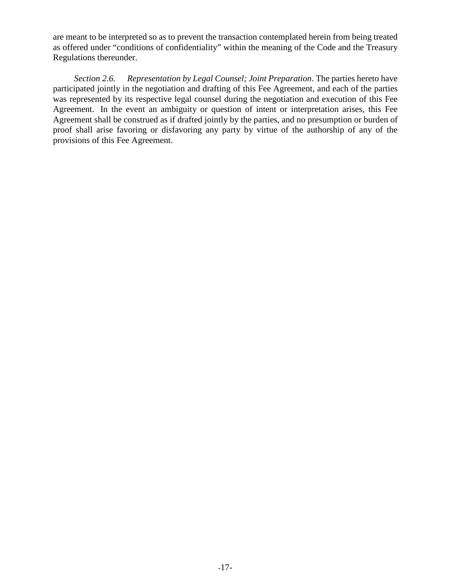are meant to be interpreted so as to prevent the transaction contemplated herein from being treated as offered under "conditions of confidentiality" within the meaning of the Code and the Treasury Regulations thereunder.

*Section 2.6. Representation by Legal Counsel; Joint Preparation*. The parties hereto have participated jointly in the negotiation and drafting of this Fee Agreement, and each of the parties was represented by its respective legal counsel during the negotiation and execution of this Fee Agreement. In the event an ambiguity or question of intent or interpretation arises, this Fee Agreement shall be construed as if drafted jointly by the parties, and no presumption or burden of proof shall arise favoring or disfavoring any party by virtue of the authorship of any of the provisions of this Fee Agreement.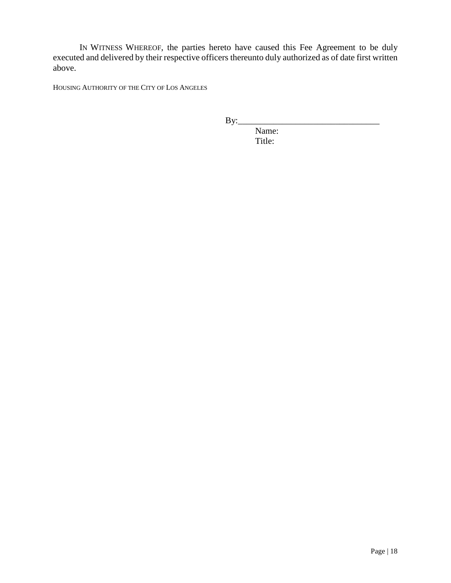IN WITNESS WHEREOF, the parties hereto have caused this Fee Agreement to be duly executed and delivered by their respective officers thereunto duly authorized as of date first written above.

HOUSING AUTHORITY OF THE CITY OF LOS ANGELES

 $By:$ 

Name: Title: